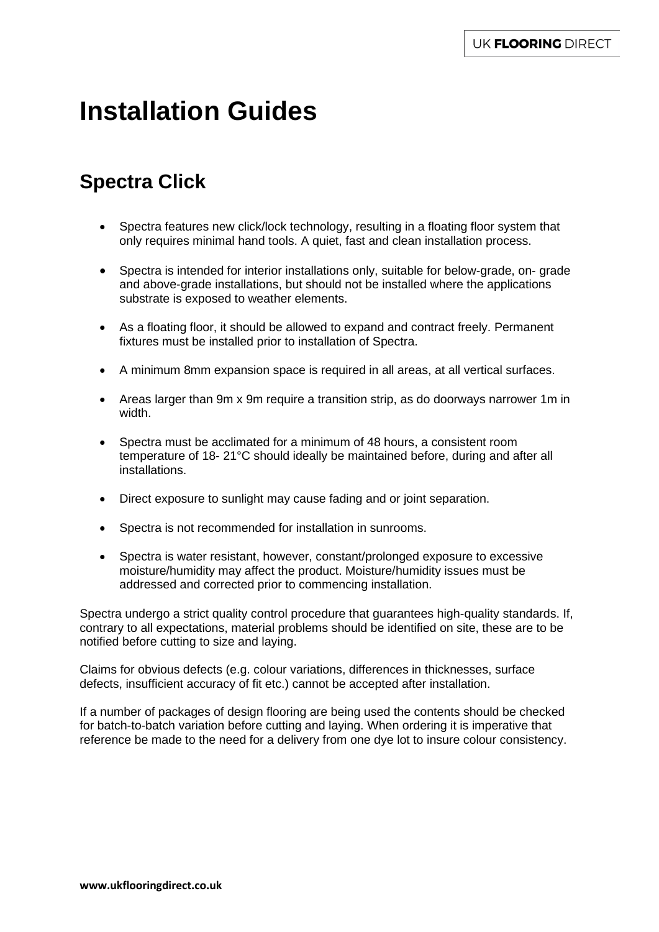# **Installation Guides**

# **Spectra Click**

- Spectra features new click/lock technology, resulting in a floating floor system that only requires minimal hand tools. A quiet, fast and clean installation process.
- Spectra is intended for interior installations only, suitable for below-grade, on- grade and above-grade installations, but should not be installed where the applications substrate is exposed to weather elements.
- As a floating floor, it should be allowed to expand and contract freely. Permanent fixtures must be installed prior to installation of Spectra.
- A minimum 8mm expansion space is required in all areas, at all vertical surfaces.
- Areas larger than 9m x 9m require a transition strip, as do doorways narrower 1m in width.
- Spectra must be acclimated for a minimum of 48 hours, a consistent room temperature of 18- 21°C should ideally be maintained before, during and after all installations.
- Direct exposure to sunlight may cause fading and or joint separation.
- Spectra is not recommended for installation in sunrooms.
- Spectra is water resistant, however, constant/prolonged exposure to excessive moisture/humidity may affect the product. Moisture/humidity issues must be addressed and corrected prior to commencing installation.

Spectra undergo a strict quality control procedure that guarantees high-quality standards. If, contrary to all expectations, material problems should be identified on site, these are to be notified before cutting to size and laying.

Claims for obvious defects (e.g. colour variations, differences in thicknesses, surface defects, insufficient accuracy of fit etc.) cannot be accepted after installation.

If a number of packages of design flooring are being used the contents should be checked for batch-to-batch variation before cutting and laying. When ordering it is imperative that reference be made to the need for a delivery from one dye lot to insure colour consistency.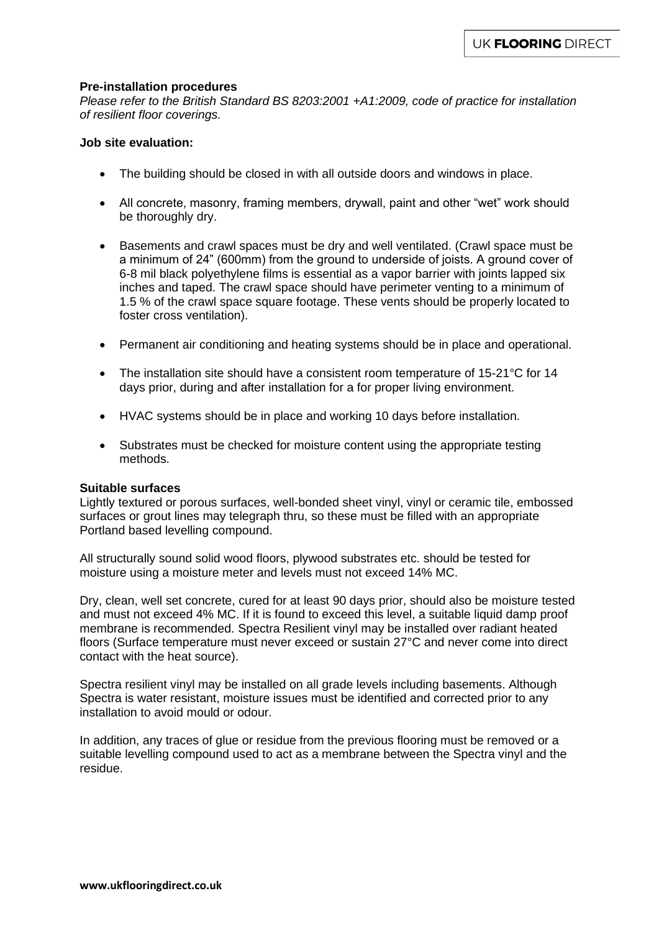#### **Pre-installation procedures**

*Please refer to the British Standard BS 8203:2001 +A1:2009, code of practice for installation of resilient floor coverings.* 

#### **Job site evaluation:**

- The building should be closed in with all outside doors and windows in place.
- All concrete, masonry, framing members, drywall, paint and other "wet" work should be thoroughly dry.
- Basements and crawl spaces must be dry and well ventilated. (Crawl space must be a minimum of 24" (600mm) from the ground to underside of joists. A ground cover of 6-8 mil black polyethylene films is essential as a vapor barrier with joints lapped six inches and taped. The crawl space should have perimeter venting to a minimum of 1.5 % of the crawl space square footage. These vents should be properly located to foster cross ventilation).
- Permanent air conditioning and heating systems should be in place and operational.
- The installation site should have a consistent room temperature of 15-21°C for 14 days prior, during and after installation for a for proper living environment.
- HVAC systems should be in place and working 10 days before installation.
- Substrates must be checked for moisture content using the appropriate testing methods.

#### **Suitable surfaces**

Lightly textured or porous surfaces, well-bonded sheet vinyl, vinyl or ceramic tile, embossed surfaces or grout lines may telegraph thru, so these must be filled with an appropriate Portland based levelling compound.

All structurally sound solid wood floors, plywood substrates etc. should be tested for moisture using a moisture meter and levels must not exceed 14% MC.

Dry, clean, well set concrete, cured for at least 90 days prior, should also be moisture tested and must not exceed 4% MC. If it is found to exceed this level, a suitable liquid damp proof membrane is recommended. Spectra Resilient vinyl may be installed over radiant heated floors (Surface temperature must never exceed or sustain 27°C and never come into direct contact with the heat source).

Spectra resilient vinyl may be installed on all grade levels including basements. Although Spectra is water resistant, moisture issues must be identified and corrected prior to any installation to avoid mould or odour.

In addition, any traces of glue or residue from the previous flooring must be removed or a suitable levelling compound used to act as a membrane between the Spectra vinyl and the residue.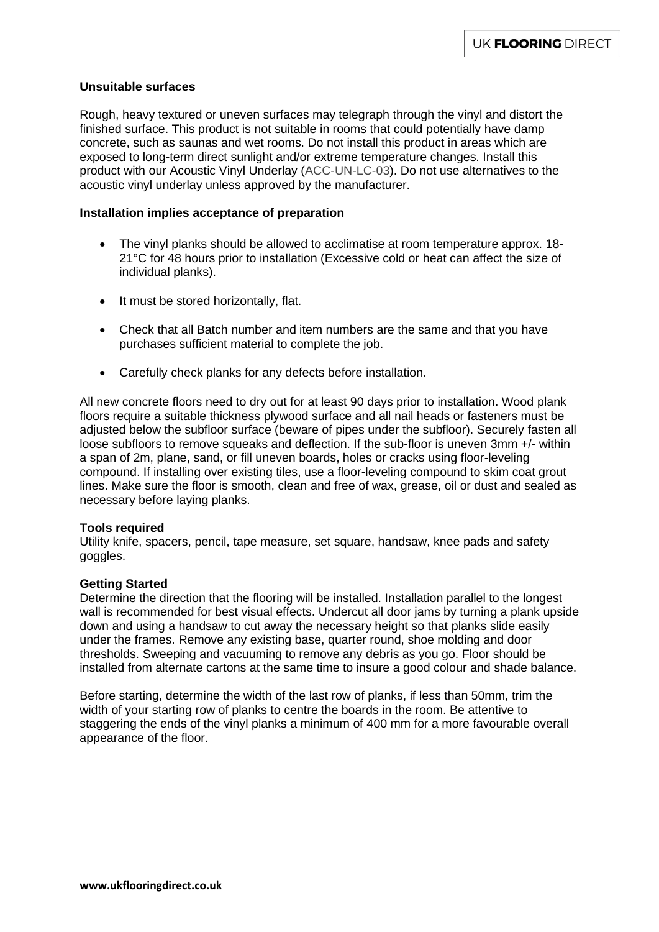#### **Unsuitable surfaces**

Rough, heavy textured or uneven surfaces may telegraph through the vinyl and distort the finished surface. This product is not suitable in rooms that could potentially have damp concrete, such as saunas and wet rooms. Do not install this product in areas which are exposed to long-term direct sunlight and/or extreme temperature changes. Install this product with our Acoustic Vinyl Underlay (ACC-UN-LC-03). Do not use alternatives to the acoustic vinyl underlay unless approved by the manufacturer.

#### **Installation implies acceptance of preparation**

- The vinyl planks should be allowed to acclimatise at room temperature approx. 18- 21°C for 48 hours prior to installation (Excessive cold or heat can affect the size of individual planks).
- It must be stored horizontally, flat.
- Check that all Batch number and item numbers are the same and that you have purchases sufficient material to complete the job.
- Carefully check planks for any defects before installation.

All new concrete floors need to dry out for at least 90 days prior to installation. Wood plank floors require a suitable thickness plywood surface and all nail heads or fasteners must be adjusted below the subfloor surface (beware of pipes under the subfloor). Securely fasten all loose subfloors to remove squeaks and deflection. If the sub-floor is uneven 3mm +/- within a span of 2m, plane, sand, or fill uneven boards, holes or cracks using floor-leveling compound. If installing over existing tiles, use a floor-leveling compound to skim coat grout lines. Make sure the floor is smooth, clean and free of wax, grease, oil or dust and sealed as necessary before laying planks.

#### **Tools required**

Utility knife, spacers, pencil, tape measure, set square, handsaw, knee pads and safety goggles.

#### **Getting Started**

Determine the direction that the flooring will be installed. Installation parallel to the longest wall is recommended for best visual effects. Undercut all door jams by turning a plank upside down and using a handsaw to cut away the necessary height so that planks slide easily under the frames. Remove any existing base, quarter round, shoe molding and door thresholds. Sweeping and vacuuming to remove any debris as you go. Floor should be installed from alternate cartons at the same time to insure a good colour and shade balance.

Before starting, determine the width of the last row of planks, if less than 50mm, trim the width of your starting row of planks to centre the boards in the room. Be attentive to staggering the ends of the vinyl planks a minimum of 400 mm for a more favourable overall appearance of the floor.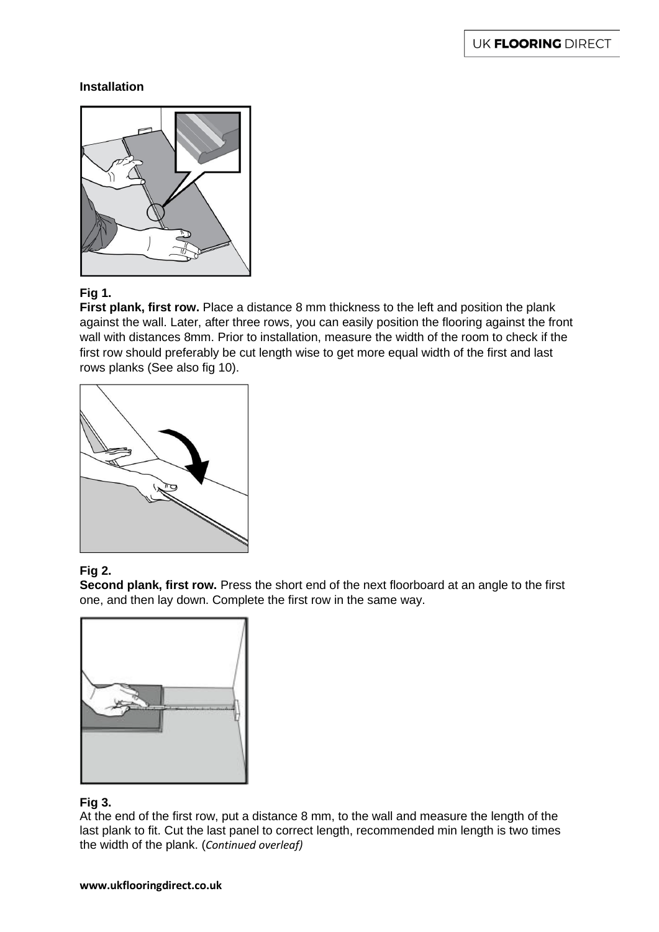### **Installation**



# **Fig 1.**

**First plank, first row.** Place a distance 8 mm thickness to the left and position the plank against the wall. Later, after three rows, you can easily position the flooring against the front wall with distances 8mm. Prior to installation, measure the width of the room to check if the first row should preferably be cut length wise to get more equal width of the first and last rows planks (See also fig 10).



# **Fig 2.**

**Second plank, first row.** Press the short end of the next floorboard at an angle to the first one, and then lay down. Complete the first row in the same way.



# **Fig 3.**

At the end of the first row, put a distance 8 mm, to the wall and measure the length of the last plank to fit. Cut the last panel to correct length, recommended min length is two times the width of the plank. (*Continued overleaf)*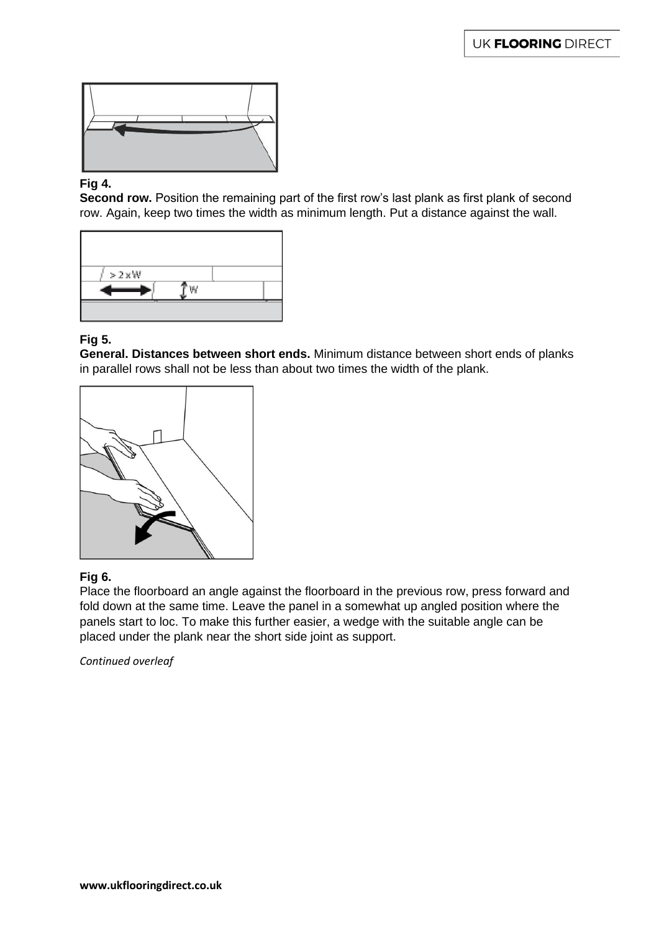

#### **Fig 4.**

**Second row.** Position the remaining part of the first row's last plank as first plank of second row. Again, keep two times the width as minimum length. Put a distance against the wall.



# **Fig 5.**

**General. Distances between short ends.** Minimum distance between short ends of planks in parallel rows shall not be less than about two times the width of the plank.



#### **Fig 6.**

Place the floorboard an angle against the floorboard in the previous row, press forward and fold down at the same time. Leave the panel in a somewhat up angled position where the panels start to loc. To make this further easier, a wedge with the suitable angle can be placed under the plank near the short side joint as support.

*Continued overleaf*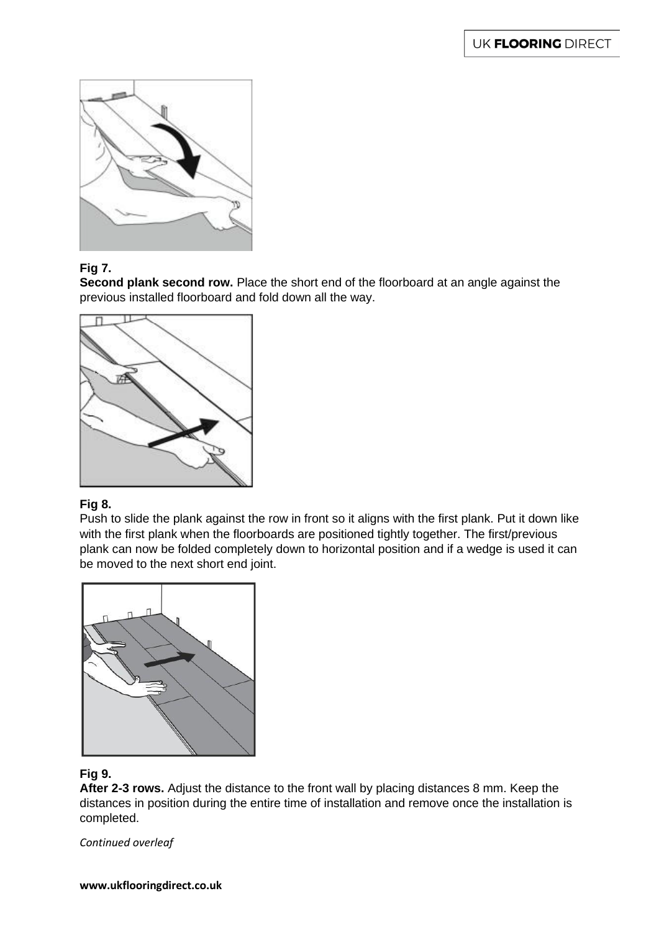

# **Fig 7.**

**Second plank second row.** Place the short end of the floorboard at an angle against the previous installed floorboard and fold down all the way.



# **Fig 8.**

Push to slide the plank against the row in front so it aligns with the first plank. Put it down like with the first plank when the floorboards are positioned tightly together. The first/previous plank can now be folded completely down to horizontal position and if a wedge is used it can be moved to the next short end joint.



# **Fig 9.**

**After 2-3 rows.** Adjust the distance to the front wall by placing distances 8 mm. Keep the distances in position during the entire time of installation and remove once the installation is completed.

*Continued overleaf*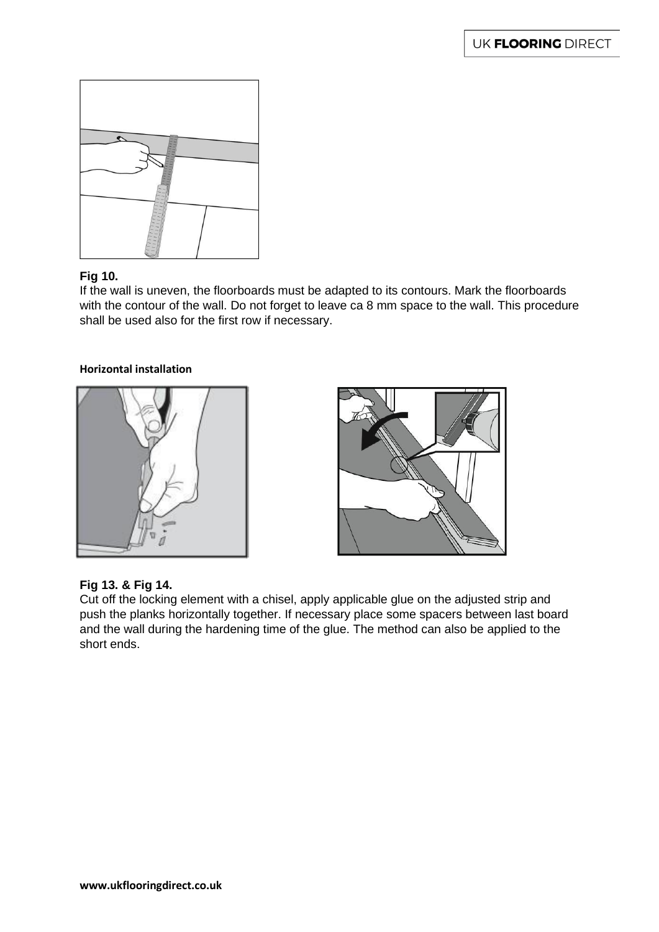

# **Fig 10.**

If the wall is uneven, the floorboards must be adapted to its contours. Mark the floorboards with the contour of the wall. Do not forget to leave ca 8 mm space to the wall. This procedure shall be used also for the first row if necessary.

#### **Horizontal installation**





# **Fig 13. & Fig 14.**

Cut off the locking element with a chisel, apply applicable glue on the adjusted strip and push the planks horizontally together. If necessary place some spacers between last board and the wall during the hardening time of the glue. The method can also be applied to the short ends.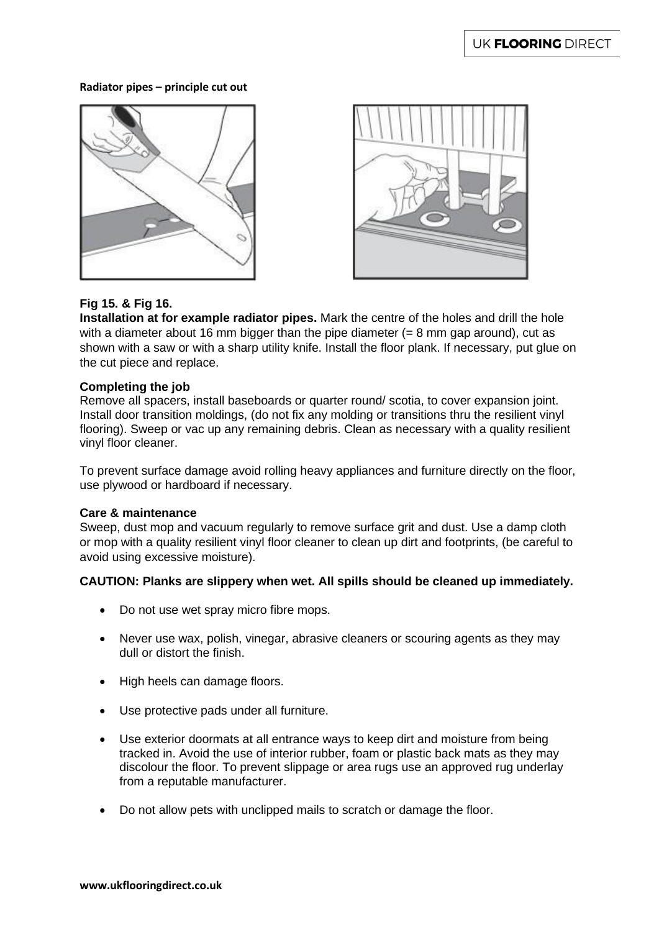#### **Radiator pipes – principle cut out**





# **Fig 15. & Fig 16.**

**Installation at for example radiator pipes.** Mark the centre of the holes and drill the hole with a diameter about 16 mm bigger than the pipe diameter  $(= 8 \text{ mm}$  gap around), cut as shown with a saw or with a sharp utility knife. Install the floor plank. If necessary, put glue on the cut piece and replace.

#### **Completing the job**

Remove all spacers, install baseboards or quarter round/ scotia, to cover expansion joint. Install door transition moldings, (do not fix any molding or transitions thru the resilient vinyl flooring). Sweep or vac up any remaining debris. Clean as necessary with a quality resilient vinyl floor cleaner.

To prevent surface damage avoid rolling heavy appliances and furniture directly on the floor, use plywood or hardboard if necessary.

#### **Care & maintenance**

Sweep, dust mop and vacuum regularly to remove surface grit and dust. Use a damp cloth or mop with a quality resilient vinyl floor cleaner to clean up dirt and footprints, (be careful to avoid using excessive moisture).

#### **CAUTION: Planks are slippery when wet. All spills should be cleaned up immediately.**

- Do not use wet spray micro fibre mops.
- Never use wax, polish, vinegar, abrasive cleaners or scouring agents as they may dull or distort the finish.
- High heels can damage floors.
- Use protective pads under all furniture.
- Use exterior doormats at all entrance ways to keep dirt and moisture from being tracked in. Avoid the use of interior rubber, foam or plastic back mats as they may discolour the floor. To prevent slippage or area rugs use an approved rug underlay from a reputable manufacturer.
- Do not allow pets with unclipped mails to scratch or damage the floor.